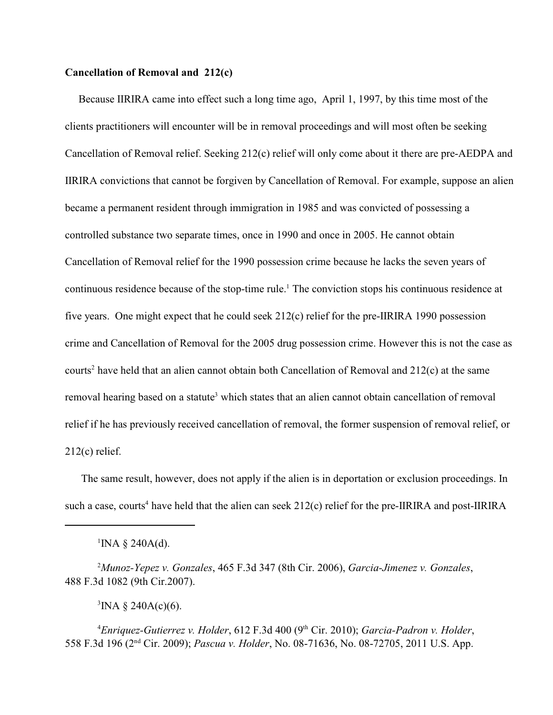## **Cancellation of Removal and 212(c)**

 Because IIRIRA came into effect such a long time ago, April 1, 1997, by this time most of the clients practitioners will encounter will be in removal proceedings and will most often be seeking Cancellation of Removal relief. Seeking 212(c) relief will only come about it there are pre-AEDPA and IIRIRA convictions that cannot be forgiven by Cancellation of Removal. For example, suppose an alien became a permanent resident through immigration in 1985 and was convicted of possessing a controlled substance two separate times, once in 1990 and once in 2005. He cannot obtain Cancellation of Removal relief for the 1990 possession crime because he lacks the seven years of continuous residence because of the stop-time rule.<sup>1</sup> The conviction stops his continuous residence at five years. One might expect that he could seek  $212(c)$  relief for the pre-IIRIRA 1990 possession crime and Cancellation of Removal for the 2005 drug possession crime. However this is not the case as courts<sup>2</sup> have held that an alien cannot obtain both Cancellation of Removal and  $212(c)$  at the same removal hearing based on a statute<sup>3</sup> which states that an alien cannot obtain cancellation of removal relief if he has previously received cancellation of removal, the former suspension of removal relief, or 212(c) relief.

 The same result, however, does not apply if the alien is in deportation or exclusion proceedings. In such a case, courts<sup>4</sup> have held that the alien can seek  $212(c)$  relief for the pre-IIRIRA and post-IIRIRA

<sup>1</sup>INA § 240A(d).

*Munoz-Yepez v. Gonzales*, 465 F.3d 347 (8th Cir. 2006), *Garcia-Jimenez v. Gonzales*, 2 488 F.3d 1082 (9th Cir.2007).

 ${}^{3}$ INA § 240A(c)(6).

<sup>4</sup> Enriquez-Gutierrez v. Holder, 612 F.3d 400 (9<sup>th</sup> Cir. 2010); *Garcia-Padron v. Holder*, 558 F.3d 196 (2<sup>nd</sup> Cir. 2009); *Pascua v. Holder*, No. 08-71636, No. 08-72705, 2011 U.S. App.